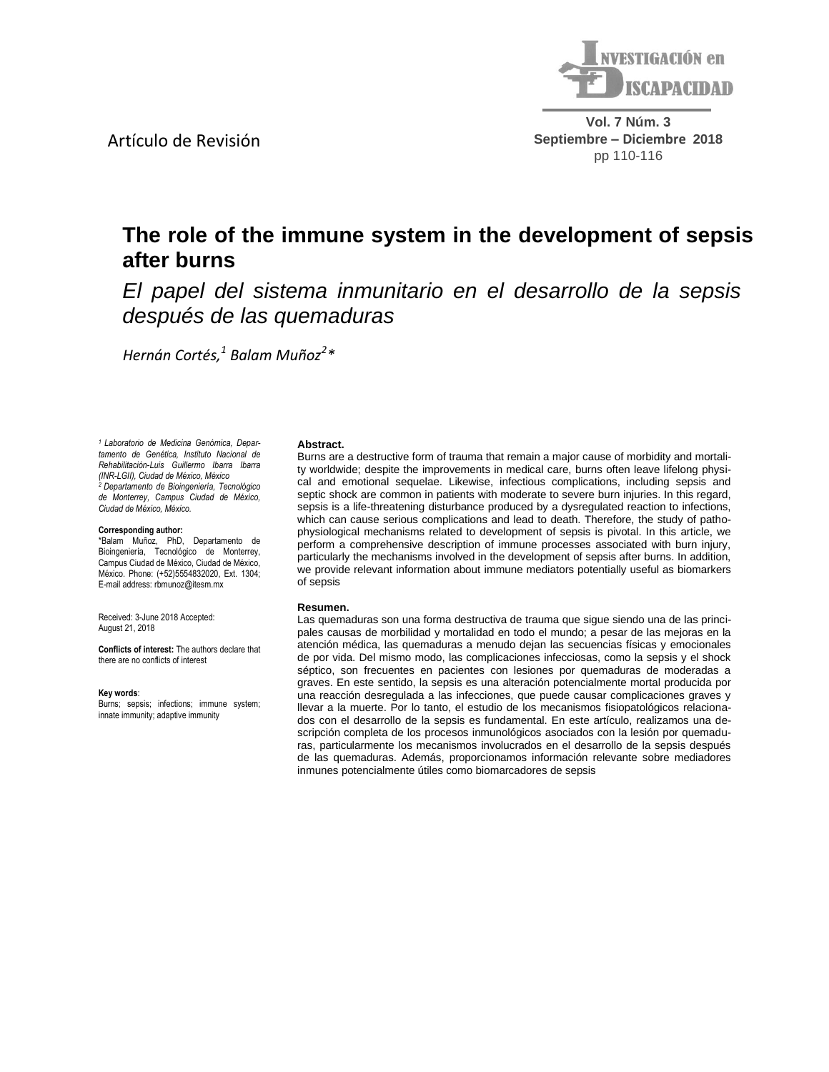

**Vol. 7 Núm. 3 Septiembre – Diciembre 2018** pp 110-116

# **The role of the immune system in the development of sepsis**

*El papel del sistema inmunitario en el desarrollo de la sepsis después de las quemaduras*

*p* **p p p p p p** *Hernán Cortés, 1 Balam Muñoz<sup>2</sup> \**

*1 Laboratorio de Medicina Genómica, Departamento de Genética, Instituto Nacional de Rehabilitación-Luis Guillermo Ibarra Ibarra (INR-LGII), Ciudad de México, México <sup>2</sup>Departamento de Bioingeniería, Tecnológico de Monterrey, Campus Ciudad de México, Ciudad de México, México.* 

Artículo de Revisión

**after burns**

#### **Corresponding author:**

\*Balam Muñoz, PhD, Departamento de Bioingeniería, Tecnológico de Monterrey, Campus Ciudad de México, Ciudad de México, México. Phone: (+52)5554832020, Ext. 1304; E-mail address: rbmunoz@itesm.mx

Received: 3-June 2018 Accepted: August 21, 2018

**Conflicts of interest:** The authors declare that there are no conflicts of interest

#### **Key words**:

Burns; sepsis; infections; immune system; innate immunity; adaptive immunity

#### **Abstract.**

Burns are a destructive form of trauma that remain a major cause of morbidity and mortality worldwide; despite the improvements in medical care, burns often leave lifelong physical and emotional sequelae. Likewise, infectious complications, including sepsis and septic shock are common in patients with moderate to severe burn injuries. In this regard, sepsis is a life-threatening disturbance produced by a dysregulated reaction to infections, which can cause serious complications and lead to death. Therefore, the study of pathophysiological mechanisms related to development of sepsis is pivotal. In this article, we perform a comprehensive description of immune processes associated with burn injury, particularly the mechanisms involved in the development of sepsis after burns. In addition, we provide relevant information about immune mediators potentially useful as biomarkers of sepsis

### **Resumen.**

Las quemaduras son una forma destructiva de trauma que sigue siendo una de las principales causas de morbilidad y mortalidad en todo el mundo; a pesar de las mejoras en la atención médica, las quemaduras a menudo dejan las secuencias físicas y emocionales de por vida. Del mismo modo, las complicaciones infecciosas, como la sepsis y el shock séptico, son frecuentes en pacientes con lesiones por quemaduras de moderadas a graves. En este sentido, la sepsis es una alteración potencialmente mortal producida por una reacción desregulada a las infecciones, que puede causar complicaciones graves y llevar a la muerte. Por lo tanto, el estudio de los mecanismos fisiopatológicos relacionados con el desarrollo de la sepsis es fundamental. En este artículo, realizamos una descripción completa de los procesos inmunológicos asociados con la lesión por quemaduras, particularmente los mecanismos involucrados en el desarrollo de la sepsis después de las quemaduras. Además, proporcionamos información relevante sobre mediadores inmunes potencialmente útiles como biomarcadores de sepsis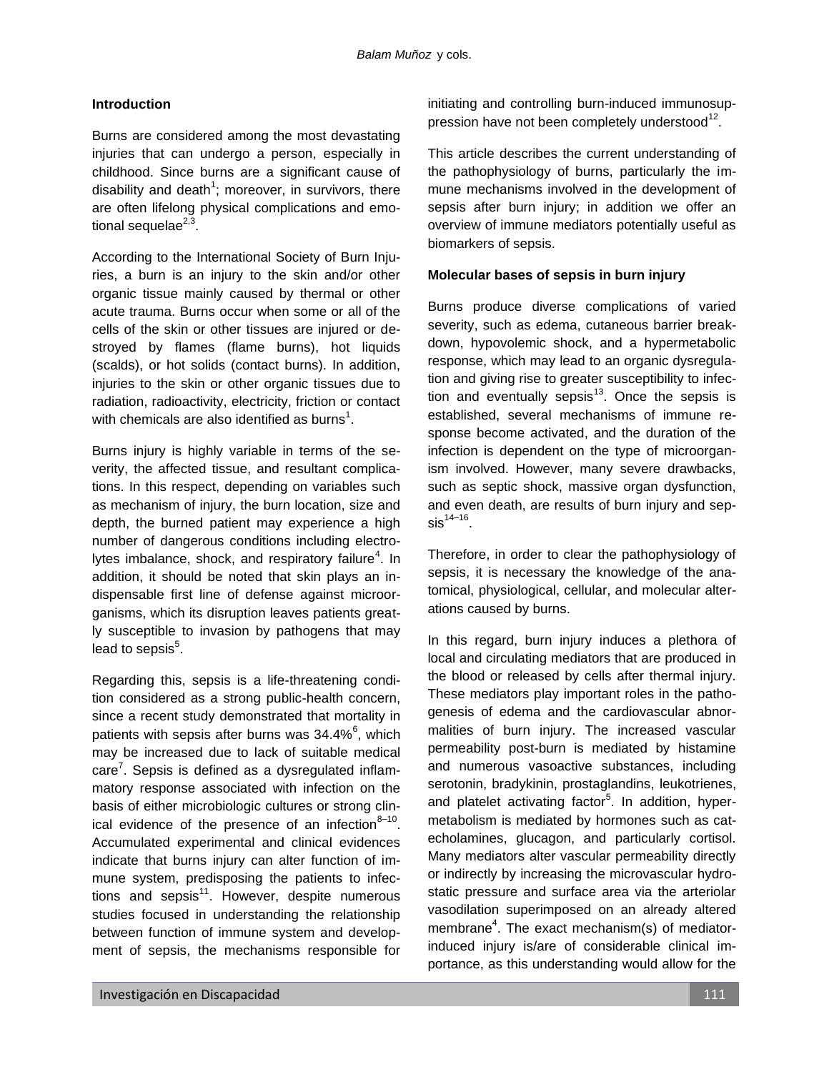# **Introduction**

Burns are considered among the most devastating injuries that can undergo a person, especially in childhood. Since burns are a significant cause of disability and death<sup>1</sup>; moreover, in survivors, there are often lifelong physical complications and emotional sequelae<sup>2,3</sup>.

According to the International Society of Burn Injuries, a burn is an injury to the skin and/or other organic tissue mainly caused by thermal or other acute trauma. Burns occur when some or all of the cells of the skin or other tissues are injured or destroyed by flames (flame burns), hot liquids (scalds), or hot solids (contact burns). In addition, injuries to the skin or other organic tissues due to radiation, radioactivity, electricity, friction or contact with chemicals are also identified as burns<sup>1</sup>.

Burns injury is highly variable in terms of the severity, the affected tissue, and resultant complications. In this respect, depending on variables such as mechanism of injury, the burn location, size and depth, the burned patient may experience a high number of dangerous conditions including electrolytes imbalance, shock, and respiratory failure<sup>4</sup>. In addition, it should be noted that skin plays an indispensable first line of defense against microorganisms, which its disruption leaves patients greatly susceptible to invasion by pathogens that may lead to sepsis $5$ .

Regarding this, sepsis is a life-threatening condition considered as a strong public-health concern, since a recent study demonstrated that mortality in patients with sepsis after burns was  $34.4\%$ <sup>6</sup>, which may be increased due to lack of suitable medical care<sup>7</sup>. Sepsis is defined as a dysregulated inflammatory response associated with infection on the basis of either microbiologic cultures or strong clinical evidence of the presence of an infection $8-10$ . Accumulated experimental and clinical evidences indicate that burns injury can alter function of immune system, predisposing the patients to infections and sepsis<sup>11</sup>. However, despite numerous studies focused in understanding the relationship between function of immune system and development of sepsis, the mechanisms responsible for

initiating and controlling burn-induced immunosuppression have not been completely understood $^{12}$ .

This article describes the current understanding of the pathophysiology of burns, particularly the immune mechanisms involved in the development of sepsis after burn injury; in addition we offer an overview of immune mediators potentially useful as biomarkers of sepsis.

# **Molecular bases of sepsis in burn injury**

Burns produce diverse complications of varied severity, such as edema, cutaneous barrier breakdown, hypovolemic shock, and a hypermetabolic response, which may lead to an organic dysregulation and giving rise to greater susceptibility to infection and eventually sepsis<sup>13</sup>. Once the sepsis is established, several mechanisms of immune response become activated, and the duration of the infection is dependent on the type of microorganism involved. However, many severe drawbacks, such as septic shock, massive organ dysfunction, and even death, are results of burn injury and sep- $\mathrm{sis}^{14-16}.$ 

Therefore, in order to clear the pathophysiology of sepsis, it is necessary the knowledge of the anatomical, physiological, cellular, and molecular alterations caused by burns.

In this regard, burn injury induces a plethora of local and circulating mediators that are produced in the blood or released by cells after thermal injury. These mediators play important roles in the pathogenesis of edema and the cardiovascular abnormalities of burn injury. The increased vascular permeability post-burn is mediated by histamine and numerous vasoactive substances, including serotonin, bradykinin, prostaglandins, leukotrienes, and platelet activating factor<sup>5</sup>. In addition, hypermetabolism is mediated by hormones such as catecholamines, glucagon, and particularly cortisol. Many mediators alter vascular permeability directly or indirectly by increasing the microvascular hydrostatic pressure and surface area via the arteriolar vasodilation superimposed on an already altered membrane<sup>4</sup>. The exact mechanism(s) of mediatorinduced injury is/are of considerable clinical importance, as this understanding would allow for the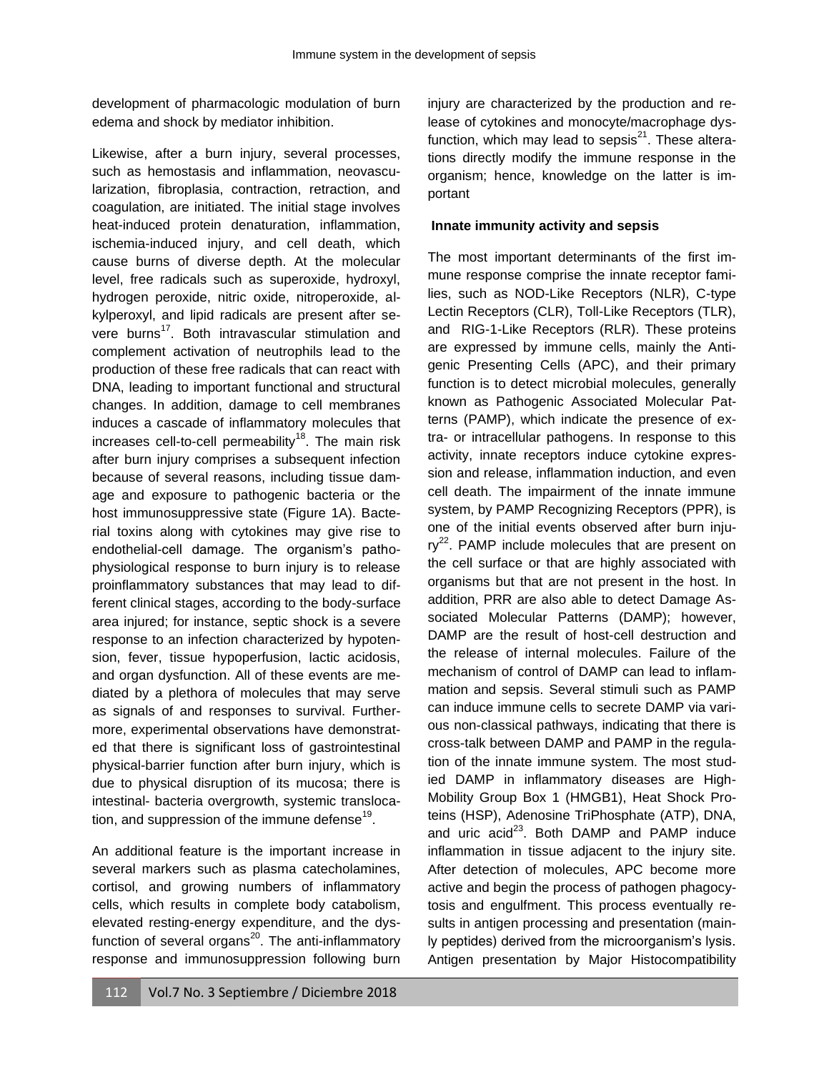development of pharmacologic modulation of burn edema and shock by mediator inhibition.

Likewise, after a burn injury, several processes, such as hemostasis and inflammation, neovascularization, fibroplasia, contraction, retraction, and coagulation, are initiated. The initial stage involves heat-induced protein denaturation, inflammation, ischemia-induced injury, and cell death, which cause burns of diverse depth. At the molecular level, free radicals such as superoxide, hydroxyl, hydrogen peroxide, nitric oxide, nitroperoxide, alkylperoxyl, and lipid radicals are present after severe burns<sup>17</sup>. Both intravascular stimulation and complement activation of neutrophils lead to the production of these free radicals that can react with DNA, leading to important functional and structural changes. In addition, damage to cell membranes induces a cascade of inflammatory molecules that increases cell-to-cell permeability<sup>18</sup>. The main risk after burn injury comprises a subsequent infection because of several reasons, including tissue damage and exposure to pathogenic bacteria or the host immunosuppressive state (Figure 1A). Bacterial toxins along with cytokines may give rise to endothelial-cell damage. The organism's pathophysiological response to burn injury is to release proinflammatory substances that may lead to different clinical stages, according to the body-surface area injured; for instance, septic shock is a severe response to an infection characterized by hypotension, fever, tissue hypoperfusion, lactic acidosis, and organ dysfunction. All of these events are mediated by a plethora of molecules that may serve as signals of and responses to survival. Furthermore, experimental observations have demonstrated that there is significant loss of gastrointestinal physical-barrier function after burn injury, which is due to physical disruption of its mucosa; there is intestinal- bacteria overgrowth, systemic translocation, and suppression of the immune defense<sup>19</sup>.

An additional feature is the important increase in several markers such as plasma catecholamines, cortisol, and growing numbers of inflammatory cells, which results in complete body catabolism, elevated resting-energy expenditure, and the dysfunction of several organs<sup>20</sup>. The anti-inflammatory response and immunosuppression following burn

injury are characterized by the production and release of cytokines and monocyte/macrophage dysfunction, which may lead to sepsis $^{21}$ . These alterations directly modify the immune response in the organism; hence, knowledge on the latter is important

## **Innate immunity activity and sepsis**

The most important determinants of the first immune response comprise the innate receptor families, such as NOD-Like Receptors (NLR), C-type Lectin Receptors (CLR), Toll-Like Receptors (TLR), and RIG-1-Like Receptors (RLR). These proteins are expressed by immune cells, mainly the Antigenic Presenting Cells (APC), and their primary function is to detect microbial molecules, generally known as Pathogenic Associated Molecular Patterns (PAMP), which indicate the presence of extra- or intracellular pathogens. In response to this activity, innate receptors induce cytokine expression and release, inflammation induction, and even cell death. The impairment of the innate immune system, by PAMP Recognizing Receptors (PPR), is one of the initial events observed after burn inju $ry^{22}$ . PAMP include molecules that are present on the cell surface or that are highly associated with organisms but that are not present in the host. In addition, PRR are also able to detect Damage Associated Molecular Patterns (DAMP); however, DAMP are the result of host-cell destruction and the release of internal molecules. Failure of the mechanism of control of DAMP can lead to inflammation and sepsis. Several stimuli such as PAMP can induce immune cells to secrete DAMP via various non-classical pathways, indicating that there is cross-talk between DAMP and PAMP in the regulation of the innate immune system. The most studied DAMP in inflammatory diseases are High-Mobility Group Box 1 (HMGB1), Heat Shock Proteins (HSP), Adenosine TriPhosphate (ATP), DNA, and uric  $acid^{23}$ . Both DAMP and PAMP induce inflammation in tissue adjacent to the injury site. After detection of molecules, APC become more active and begin the process of pathogen phagocytosis and engulfment. This process eventually results in antigen processing and presentation (mainly peptides) derived from the microorganism's lysis. Antigen presentation by Major Histocompatibility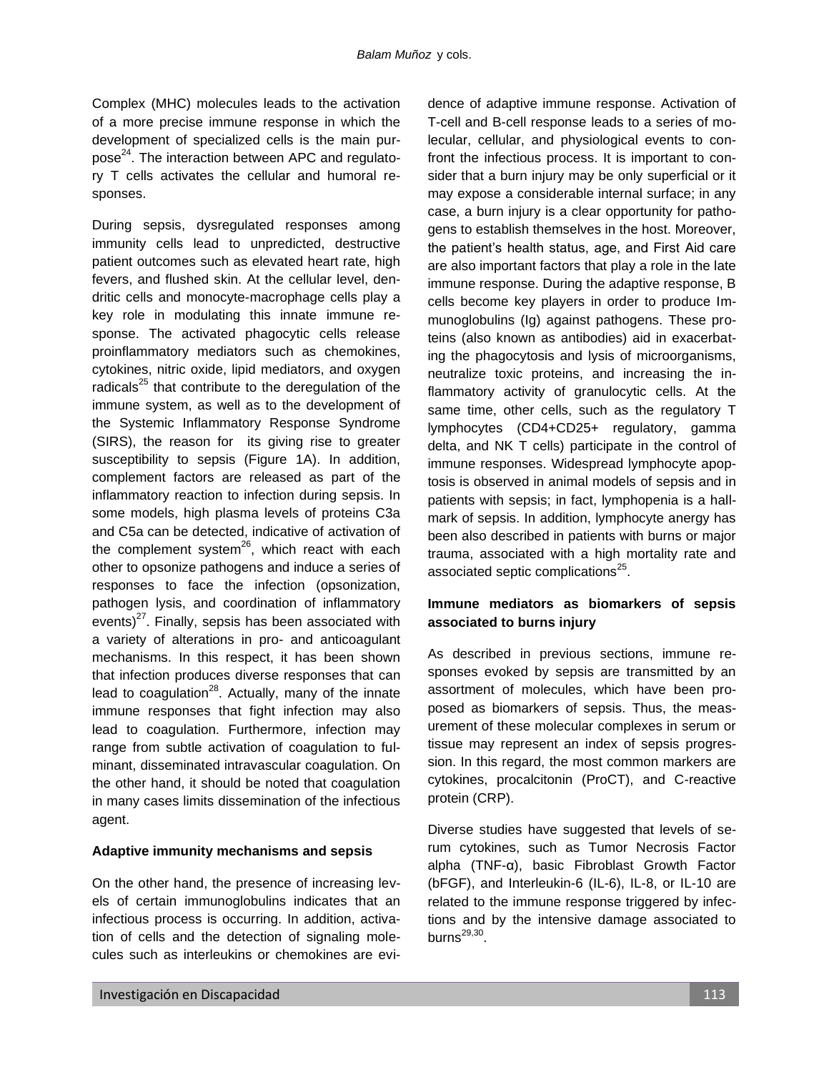Complex (MHC) molecules leads to the activation of a more precise immune response in which the development of specialized cells is the main purpose<sup>24</sup>. The interaction between APC and regulatory T cells activates the cellular and humoral responses.

During sepsis, dysregulated responses among immunity cells lead to unpredicted, destructive patient outcomes such as elevated heart rate, high fevers, and flushed skin. At the cellular level, dendritic cells and monocyte-macrophage cells play a key role in modulating this innate immune response. The activated phagocytic cells release proinflammatory mediators such as chemokines, cytokines, nitric oxide, lipid mediators, and oxygen radicals<sup>25</sup> that contribute to the deregulation of the immune system, as well as to the development of the Systemic Inflammatory Response Syndrome (SIRS), the reason for its giving rise to greater susceptibility to sepsis (Figure 1A). In addition, complement factors are released as part of the inflammatory reaction to infection during sepsis. In some models, high plasma levels of proteins C3a and C5a can be detected, indicative of activation of the complement system $^{26}$ , which react with each other to opsonize pathogens and induce a series of responses to face the infection (opsonization, pathogen lysis, and coordination of inflammatory events) $^{27}$ . Finally, sepsis has been associated with a variety of alterations in pro- and anticoagulant mechanisms. In this respect, it has been shown that infection produces diverse responses that can lead to coagulation<sup>28</sup>. Actually, many of the innate immune responses that fight infection may also lead to coagulation. Furthermore, infection may range from subtle activation of coagulation to fulminant, disseminated intravascular coagulation. On the other hand, it should be noted that coagulation in many cases limits dissemination of the infectious agent.

# **Adaptive immunity mechanisms and sepsis**

On the other hand, the presence of increasing levels of certain immunoglobulins indicates that an infectious process is occurring. In addition, activation of cells and the detection of signaling molecules such as interleukins or chemokines are evidence of adaptive immune response. Activation of T-cell and B-cell response leads to a series of molecular, cellular, and physiological events to confront the infectious process. It is important to consider that a burn injury may be only superficial or it may expose a considerable internal surface; in any case, a burn injury is a clear opportunity for pathogens to establish themselves in the host. Moreover, the patient's health status, age, and First Aid care are also important factors that play a role in the late immune response. During the adaptive response, B cells become key players in order to produce Immunoglobulins (Ig) against pathogens. These proteins (also known as antibodies) aid in exacerbating the phagocytosis and lysis of microorganisms, neutralize toxic proteins, and increasing the inflammatory activity of granulocytic cells. At the same time, other cells, such as the regulatory T lymphocytes (CD4+CD25+ regulatory, gamma delta, and NK T cells) participate in the control of immune responses. Widespread lymphocyte apoptosis is observed in animal models of sepsis and in patients with sepsis; in fact, lymphopenia is a hallmark of sepsis. In addition, lymphocyte anergy has been also described in patients with burns or major trauma, associated with a high mortality rate and associated septic complications<sup>25</sup>.

# **Immune mediators as biomarkers of sepsis associated to burns injury**

As described in previous sections, immune responses evoked by sepsis are transmitted by an assortment of molecules, which have been proposed as biomarkers of sepsis. Thus, the measurement of these molecular complexes in serum or tissue may represent an index of sepsis progression. In this regard, the most common markers are cytokines, procalcitonin (ProCT), and C-reactive protein (CRP).

Diverse studies have suggested that levels of serum cytokines, such as Tumor Necrosis Factor alpha (TNF-α), basic Fibroblast Growth Factor (bFGF), and Interleukin-6 (IL-6), IL-8, or IL-10 are related to the immune response triggered by infections and by the intensive damage associated to burns $^{29,30}.$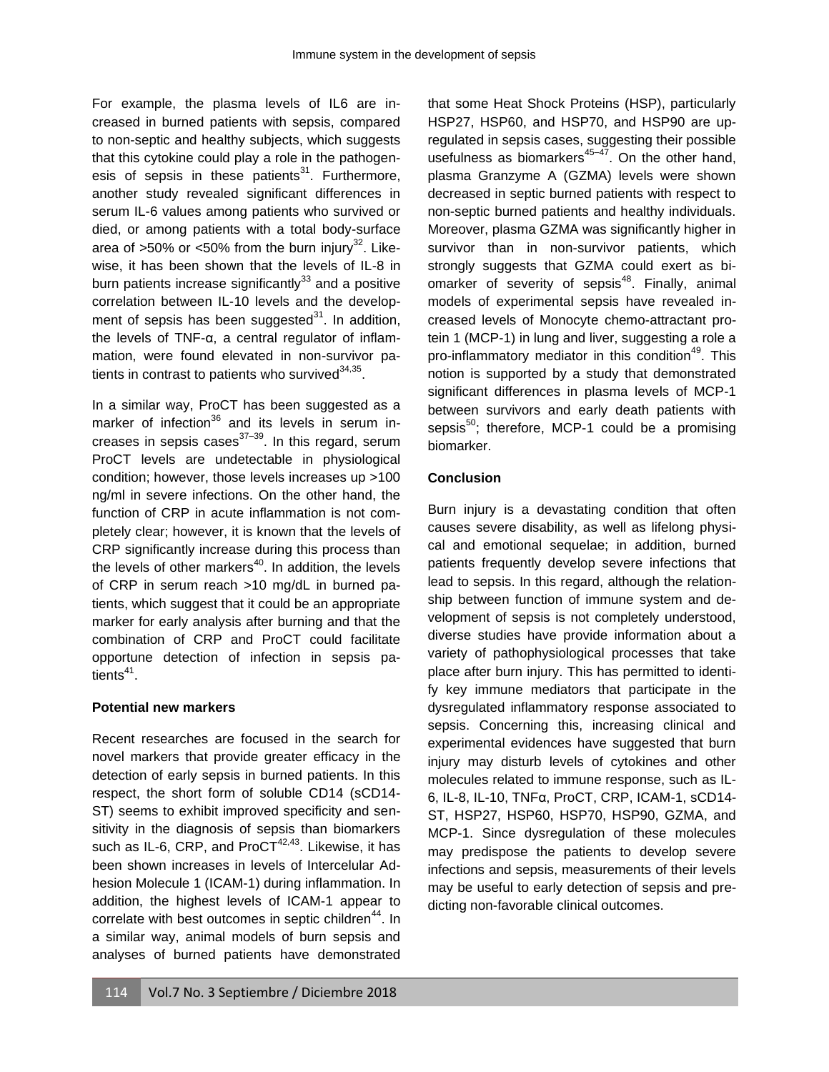For example, the plasma levels of IL6 are increased in burned patients with sepsis, compared to non-septic and healthy subjects, which suggests that this cytokine could play a role in the pathogenesis of sepsis in these patients $31$ . Furthermore, another study revealed significant differences in serum IL-6 values among patients who survived or died, or among patients with a total body-surface area of  $>50\%$  or  $<50\%$  from the burn injury<sup>32</sup>. Likewise, it has been shown that the levels of IL-8 in burn patients increase significantly $33$  and a positive correlation between IL-10 levels and the development of sepsis has been suggested $31$ . In addition, the levels of TNF-α, a central regulator of inflammation, were found elevated in non-survivor patients in contrast to patients who survived $^{34,35}$ .

In a similar way, ProCT has been suggested as a marker of infection $36$  and its levels in serum increases in sepsis cases $37-39$ . In this regard, serum ProCT levels are undetectable in physiological condition; however, those levels increases up >100 ng/ml in severe infections. On the other hand, the function of CRP in acute inflammation is not completely clear; however, it is known that the levels of CRP significantly increase during this process than the levels of other markers $40$ . In addition, the levels of CRP in serum reach >10 mg/dL in burned patients, which suggest that it could be an appropriate marker for early analysis after burning and that the combination of CRP and ProCT could facilitate opportune detection of infection in sepsis patients<sup>41</sup>.

# **Potential new markers**

Recent researches are focused in the search for novel markers that provide greater efficacy in the detection of early sepsis in burned patients. In this respect, the short form of soluble CD14 (sCD14- ST) seems to exhibit improved specificity and sensitivity in the diagnosis of sepsis than biomarkers such as IL-6, CRP, and ProC $T^{42,43}$ . Likewise, it has been shown increases in levels of Intercelular Adhesion Molecule 1 (ICAM-1) during inflammation. In addition, the highest levels of ICAM-1 appear to correlate with best outcomes in septic children<sup>44</sup>. In a similar way, animal models of burn sepsis and analyses of burned patients have demonstrated that some Heat Shock Proteins (HSP), particularly HSP27, HSP60, and HSP70, and HSP90 are upregulated in sepsis cases, suggesting their possible usefulness as biomarkers $45-47$ . On the other hand, plasma Granzyme A (GZMA) levels were shown decreased in septic burned patients with respect to non-septic burned patients and healthy individuals. Moreover, plasma GZMA was significantly higher in survivor than in non-survivor patients, which strongly suggests that GZMA could exert as biomarker of severity of sepsis<sup>48</sup>. Finally, animal models of experimental sepsis have revealed increased levels of Monocyte chemo-attractant protein 1 (MCP-1) in lung and liver, suggesting a role a pro-inflammatory mediator in this condition<sup>49</sup>. This notion is supported by a study that demonstrated significant differences in plasma levels of MCP-1 between survivors and early death patients with sepsis $50$ ; therefore, MCP-1 could be a promising biomarker.

# **Conclusion**

Burn injury is a devastating condition that often causes severe disability, as well as lifelong physical and emotional sequelae; in addition, burned patients frequently develop severe infections that lead to sepsis. In this regard, although the relationship between function of immune system and development of sepsis is not completely understood, diverse studies have provide information about a variety of pathophysiological processes that take place after burn injury. This has permitted to identify key immune mediators that participate in the dysregulated inflammatory response associated to sepsis. Concerning this, increasing clinical and experimental evidences have suggested that burn injury may disturb levels of cytokines and other molecules related to immune response, such as IL-6, IL-8, IL-10, TNFα, ProCT, CRP, ICAM-1, sCD14- ST, HSP27, HSP60, HSP70, HSP90, GZMA, and MCP-1. Since dysregulation of these molecules may predispose the patients to develop severe infections and sepsis, measurements of their levels may be useful to early detection of sepsis and predicting non-favorable clinical outcomes.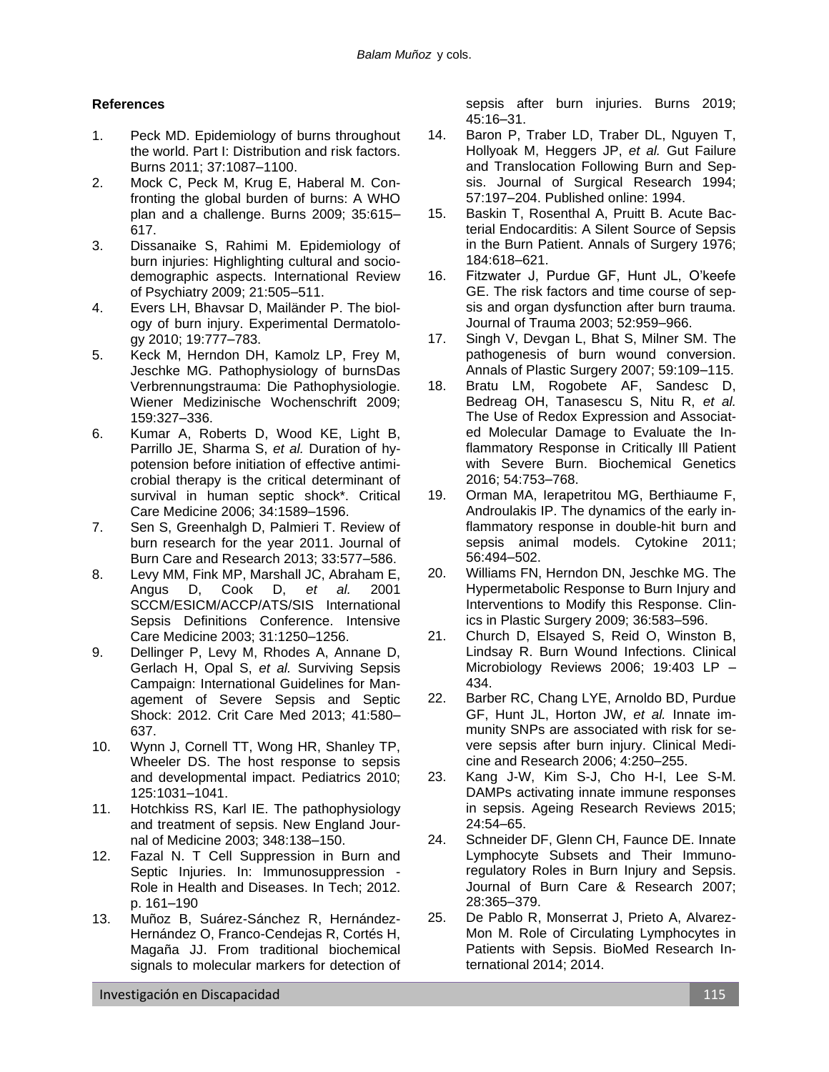# **References**

- 1. Peck MD. Epidemiology of burns throughout the world. Part I: Distribution and risk factors. Burns 2011; 37:1087–1100.
- 2. Mock C, Peck M, Krug E, Haberal M. Confronting the global burden of burns: A WHO plan and a challenge. Burns 2009; 35:615– 617.
- 3. Dissanaike S, Rahimi M. Epidemiology of burn injuries: Highlighting cultural and sociodemographic aspects. International Review of Psychiatry 2009; 21:505–511.
- 4. Evers LH, Bhavsar D, Mailänder P. The biology of burn injury. Experimental Dermatology 2010; 19:777–783.
- 5. Keck M, Herndon DH, Kamolz LP, Frey M, Jeschke MG. Pathophysiology of burnsDas Verbrennungstrauma: Die Pathophysiologie. Wiener Medizinische Wochenschrift 2009; 159:327–336.
- 6. Kumar A, Roberts D, Wood KE, Light B, Parrillo JE, Sharma S, *et al.* Duration of hypotension before initiation of effective antimicrobial therapy is the critical determinant of survival in human septic shock\*. Critical Care Medicine 2006; 34:1589–1596.
- 7. Sen S, Greenhalgh D, Palmieri T. Review of burn research for the year 2011. Journal of Burn Care and Research 2013; 33:577–586.
- 8. Levy MM, Fink MP, Marshall JC, Abraham E, Angus D, Cook D, *et al.* 2001 SCCM/ESICM/ACCP/ATS/SIS International Sepsis Definitions Conference. Intensive Care Medicine 2003; 31:1250–1256.
- 9. Dellinger P, Levy M, Rhodes A, Annane D, Gerlach H, Opal S, *et al.* Surviving Sepsis Campaign: International Guidelines for Management of Severe Sepsis and Septic Shock: 2012. Crit Care Med 2013; 41:580– 637.
- 10. Wynn J, Cornell TT, Wong HR, Shanley TP, Wheeler DS. The host response to sepsis and developmental impact. Pediatrics 2010; 125:1031–1041.
- 11. Hotchkiss RS, Karl IE. The pathophysiology and treatment of sepsis. New England Journal of Medicine 2003; 348:138–150.
- 12. Fazal N. T Cell Suppression in Burn and Septic Injuries. In: Immunosuppression - Role in Health and Diseases. In Tech; 2012. p. 161–190
- 13. Muñoz B, Suárez-Sánchez R, Hernández-Hernández O, Franco-Cendejas R, Cortés H, Magaña JJ. From traditional biochemical signals to molecular markers for detection of

sepsis after burn injuries. Burns 2019; 45:16–31.

- 14. Baron P, Traber LD, Traber DL, Nguyen T, Hollyoak M, Heggers JP, *et al.* Gut Failure and Translocation Following Burn and Sepsis. Journal of Surgical Research 1994; 57:197–204. Published online: 1994.
- 15. Baskin T, Rosenthal A, Pruitt B. Acute Bacterial Endocarditis: A Silent Source of Sepsis in the Burn Patient. Annals of Surgery 1976; 184:618–621.
- 16. Fitzwater J, Purdue GF, Hunt JL, O'keefe GE. The risk factors and time course of sepsis and organ dysfunction after burn trauma. Journal of Trauma 2003; 52:959–966.
- 17. Singh V, Devgan L, Bhat S, Milner SM. The pathogenesis of burn wound conversion. Annals of Plastic Surgery 2007; 59:109–115.
- 18. Bratu LM, Rogobete AF, Sandesc D, Bedreag OH, Tanasescu S, Nitu R, *et al.* The Use of Redox Expression and Associated Molecular Damage to Evaluate the Inflammatory Response in Critically Ill Patient with Severe Burn. Biochemical Genetics 2016; 54:753–768.
- 19. Orman MA, Ierapetritou MG, Berthiaume F, Androulakis IP. The dynamics of the early inflammatory response in double-hit burn and sepsis animal models. Cytokine 2011; 56:494–502.
- 20. Williams FN, Herndon DN, Jeschke MG. The Hypermetabolic Response to Burn Injury and Interventions to Modify this Response. Clinics in Plastic Surgery 2009; 36:583–596.
- 21. Church D, Elsayed S, Reid O, Winston B, Lindsay R. Burn Wound Infections. Clinical Microbiology Reviews 2006; 19:403 LP – 434.
- 22. Barber RC, Chang LYE, Arnoldo BD, Purdue GF, Hunt JL, Horton JW, *et al.* Innate immunity SNPs are associated with risk for severe sepsis after burn injury. Clinical Medicine and Research 2006; 4:250–255.
- 23. Kang J-W, Kim S-J, Cho H-I, Lee S-M. DAMPs activating innate immune responses in sepsis. Ageing Research Reviews 2015; 24:54–65.
- 24. Schneider DF, Glenn CH, Faunce DE. Innate Lymphocyte Subsets and Their Immunoregulatory Roles in Burn Injury and Sepsis. Journal of Burn Care & Research 2007; 28:365–379.
- 25. De Pablo R, Monserrat J, Prieto A, Alvarez-Mon M. Role of Circulating Lymphocytes in Patients with Sepsis. BioMed Research International 2014; 2014.

Investigación en Discapacidad **115. Investigación en Discapacidad** 115.